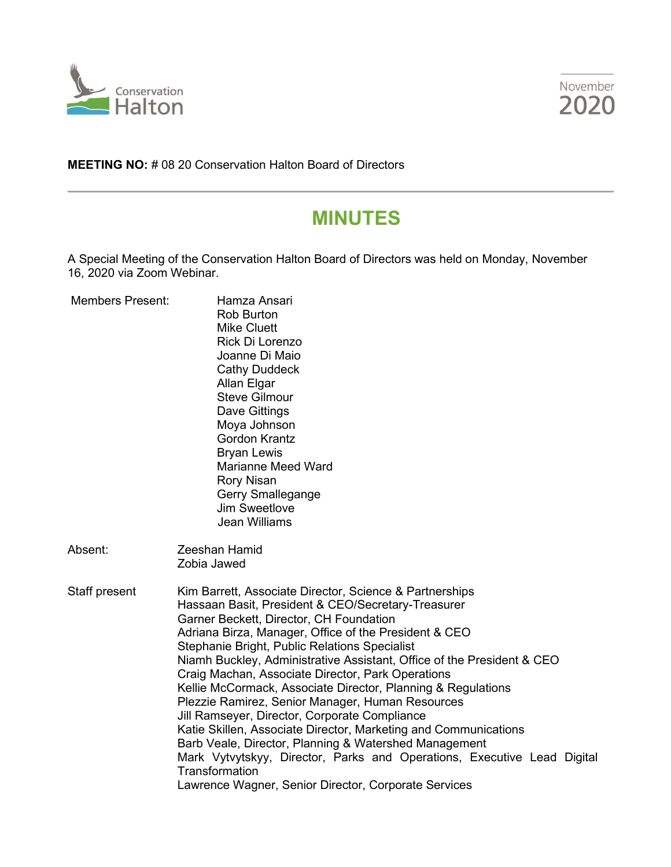



**MEETING NO:** # 08 20 Conservation Halton Board of Directors

# **MINUTES**

A Special Meeting of the Conservation Halton Board of Directors was held on Monday, November 16, 2020 via Zoom Webinar.

| <b>Members Present:</b> | Hamza Ansari<br><b>Rob Burton</b><br><b>Mike Cluett</b><br>Rick Di Lorenzo<br>Joanne Di Maio<br><b>Cathy Duddeck</b><br>Allan Elgar<br><b>Steve Gilmour</b><br>Dave Gittings<br>Moya Johnson<br><b>Gordon Krantz</b><br><b>Bryan Lewis</b><br><b>Marianne Meed Ward</b><br><b>Rory Nisan</b><br>Gerry Smallegange<br>Jim Sweetlove<br><b>Jean Williams</b>                                                                                                                                                                                                                                                                                                                                                                                                                                                                                              |
|-------------------------|---------------------------------------------------------------------------------------------------------------------------------------------------------------------------------------------------------------------------------------------------------------------------------------------------------------------------------------------------------------------------------------------------------------------------------------------------------------------------------------------------------------------------------------------------------------------------------------------------------------------------------------------------------------------------------------------------------------------------------------------------------------------------------------------------------------------------------------------------------|
| Absent:                 | Zeeshan Hamid<br>Zobia Jawed                                                                                                                                                                                                                                                                                                                                                                                                                                                                                                                                                                                                                                                                                                                                                                                                                            |
| Staff present           | Kim Barrett, Associate Director, Science & Partnerships<br>Hassaan Basit, President & CEO/Secretary-Treasurer<br>Garner Beckett, Director, CH Foundation<br>Adriana Birza, Manager, Office of the President & CEO<br>Stephanie Bright, Public Relations Specialist<br>Niamh Buckley, Administrative Assistant, Office of the President & CEO<br>Craig Machan, Associate Director, Park Operations<br>Kellie McCormack, Associate Director, Planning & Regulations<br>Plezzie Ramirez, Senior Manager, Human Resources<br>Jill Ramseyer, Director, Corporate Compliance<br>Katie Skillen, Associate Director, Marketing and Communications<br>Barb Veale, Director, Planning & Watershed Management<br>Mark Vytvytskyy, Director, Parks and Operations, Executive Lead Digital<br>Transformation<br>Lawrence Wagner, Senior Director, Corporate Services |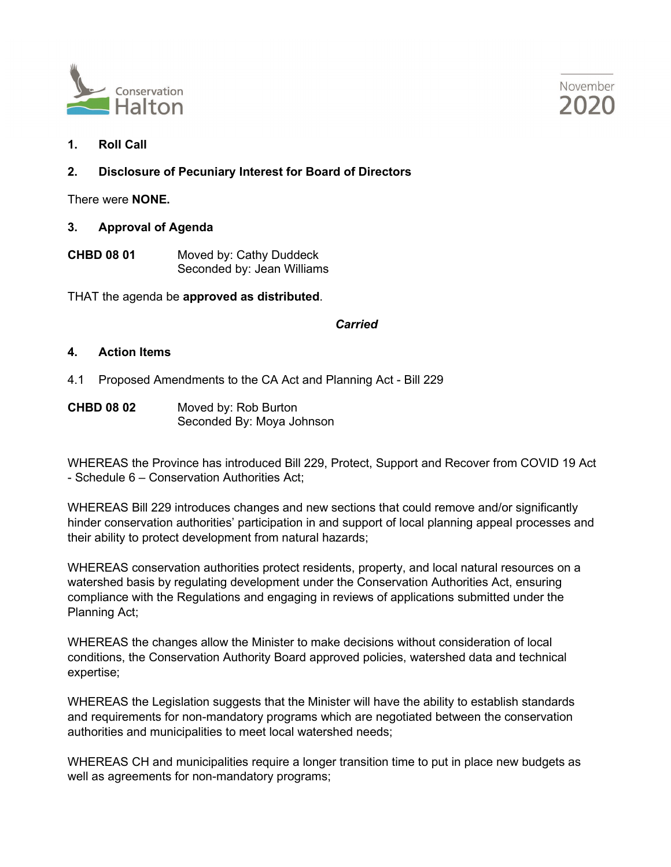



**1. Roll Call**

### **2. Disclosure of Pecuniary Interest for Board of Directors**

There were **NONE.**

- **3. Approval of Agenda**
- **CHBD 08 01** Moved by: Cathy Duddeck Seconded by: Jean Williams

THAT the agenda be **approved as distributed**.

#### *Carried*

#### **4. Action Items**

- 4.1 Proposed Amendments to the CA Act and Planning Act Bill 229
- **CHBD 08 02** Moved by: Rob Burton Seconded By: Moya Johnson

WHEREAS the Province has introduced Bill 229, Protect, Support and Recover from COVID 19 Act - Schedule 6 – Conservation Authorities Act;

WHEREAS Bill 229 introduces changes and new sections that could remove and/or significantly hinder conservation authorities' participation in and support of local planning appeal processes and their ability to protect development from natural hazards;

WHEREAS conservation authorities protect residents, property, and local natural resources on a watershed basis by regulating development under the Conservation Authorities Act, ensuring compliance with the Regulations and engaging in reviews of applications submitted under the Planning Act;

WHEREAS the changes allow the Minister to make decisions without consideration of local conditions, the Conservation Authority Board approved policies, watershed data and technical expertise;

WHEREAS the Legislation suggests that the Minister will have the ability to establish standards and requirements for non-mandatory programs which are negotiated between the conservation authorities and municipalities to meet local watershed needs;

WHEREAS CH and municipalities require a longer transition time to put in place new budgets as well as agreements for non-mandatory programs;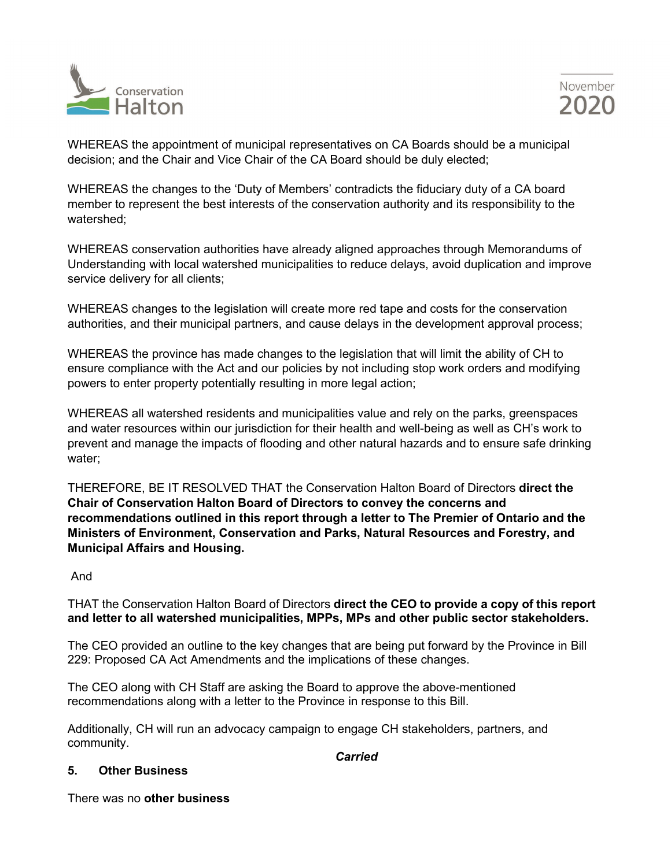



WHEREAS the appointment of municipal representatives on CA Boards should be a municipal decision; and the Chair and Vice Chair of the CA Board should be duly elected;

WHEREAS the changes to the 'Duty of Members' contradicts the fiduciary duty of a CA board member to represent the best interests of the conservation authority and its responsibility to the watershed;

WHEREAS conservation authorities have already aligned approaches through Memorandums of Understanding with local watershed municipalities to reduce delays, avoid duplication and improve service delivery for all clients;

WHEREAS changes to the legislation will create more red tape and costs for the conservation authorities, and their municipal partners, and cause delays in the development approval process;

WHEREAS the province has made changes to the legislation that will limit the ability of CH to ensure compliance with the Act and our policies by not including stop work orders and modifying powers to enter property potentially resulting in more legal action;

WHEREAS all watershed residents and municipalities value and rely on the parks, greenspaces and water resources within our jurisdiction for their health and well-being as well as CH's work to prevent and manage the impacts of flooding and other natural hazards and to ensure safe drinking water;

THEREFORE, BE IT RESOLVED THAT the Conservation Halton Board of Directors **direct the Chair of Conservation Halton Board of Directors to convey the concerns and recommendations outlined in this report through a letter to The Premier of Ontario and the Ministers of Environment, Conservation and Parks, Natural Resources and Forestry, and Municipal Affairs and Housing.**

And

THAT the Conservation Halton Board of Directors **direct the CEO to provide a copy of this report and letter to all watershed municipalities, MPPs, MPs and other public sector stakeholders.**

The CEO provided an outline to the key changes that are being put forward by the Province in Bill 229: Proposed CA Act Amendments and the implications of these changes.

The CEO along with CH Staff are asking the Board to approve the above-mentioned recommendations along with a letter to the Province in response to this Bill.

Additionally, CH will run an advocacy campaign to engage CH stakeholders, partners, and community.

*Carried*

#### **5. Other Business**

There was no **other business**